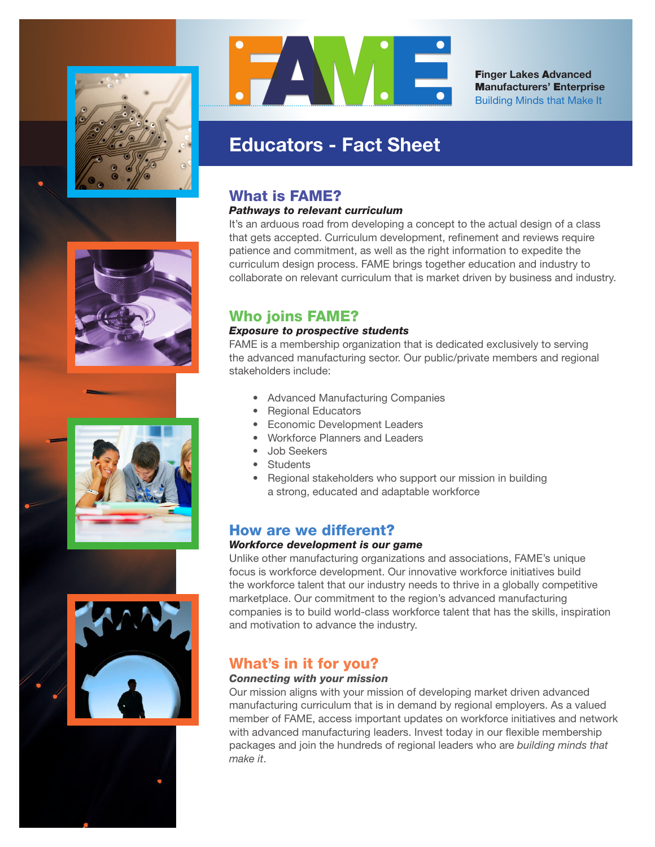









F**inger Lakes** A**dvanced** M**anufacturers'** E**nterprise** Building Minds that Make It

# **Educators - Fact Sheet**

### What is FAME?

#### *Pathways to relevant curriculum*

It's an arduous road from developing a concept to the actual design of a class that gets accepted. Curriculum development, refinement and reviews require patience and commitment, as well as the right information to expedite the curriculum design process. FAME brings together education and industry to collaborate on relevant curriculum that is market driven by business and industry.

## Who joins FAME?

### *Exposure to prospective students*

FAME is a membership organization that is dedicated exclusively to serving the advanced manufacturing sector. Our public/private members and regional stakeholders include:

- Advanced Manufacturing Companies
- Regional Educators
- Economic Development Leaders
- Workforce Planners and Leaders
- Job Seekers
- **Students**
- Regional stakeholders who support our mission in building a strong, educated and adaptable workforce

### How are we different?

#### *Workforce development is our game*

Unlike other manufacturing organizations and associations, FAME's unique focus is workforce development. Our innovative workforce initiatives build the workforce talent that our industry needs to thrive in a globally competitive marketplace. Our commitment to the region's advanced manufacturing companies is to build world-class workforce talent that has the skills, inspiration and motivation to advance the industry.

## What's in it for you?

### *Connecting with your mission*

Our mission aligns with your mission of developing market driven advanced manufacturing curriculum that is in demand by regional employers. As a valued member of FAME, access important updates on workforce initiatives and network with advanced manufacturing leaders. Invest today in our flexible membership packages and join the hundreds of regional leaders who are *building minds that make it*.